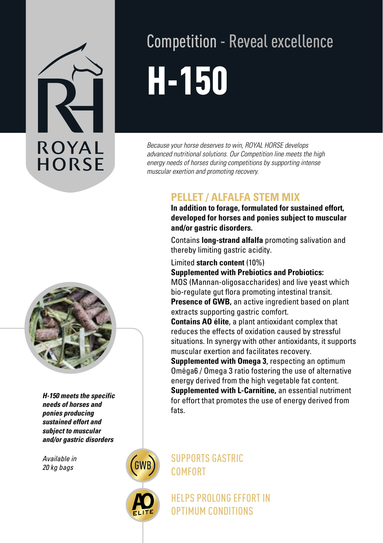# **ROYAL HORSE**

## Competition - Reveal excellence H-150

*Because your horse deserves to win, ROYAL HORSE develops advanced nutritional solutions. Our Competition line meets the high energy needs of horses during competitions by supporting intense muscular exertion and promoting recovery.*

### **PELLET / ALFALFA STEM MIX**<br>In addition to forage, formulated for sustained effort,

**developed for horses and ponies subject to muscular and/or gastric disorders.**

Contains **long-strand alfalfa** promoting salivation and thereby limiting gastric acidity.

Limited **starch content** (10%)

**Supplemented with Prebiotics and Probiotics:**

MOS (Mannan-oligosaccharides) and live yeast which bio-regulate gut flora promoting intestinal transit. **Presence of GWB,** an active ingredient based on plant extracts supporting gastric comfort.

**Contains AO élite**, a plant antioxidant complex that reduces the effects of oxidation caused by stressful situations. In synergy with other antioxidants, it supports muscular exertion and facilitates recovery.

**Supplemented with Omega 3**, respecting an optimum Oméga6 / Omega 3 ratio fostering the use of alternative energy derived from the high vegetable fat content. **Supplemented with L-Carnitine,** an essential nutriment for effort that promotes the use of energy derived from fats.

SUPPORTS GASTRIC COMFORT

> HELPS PROLONG EFFORT IN OPTIMUM CONDITIONS



*H-150 meets the specific needs of horses and ponies producing sustained effort and subject to muscular and/or gastric disorders*

*Available in 20 kg bags*